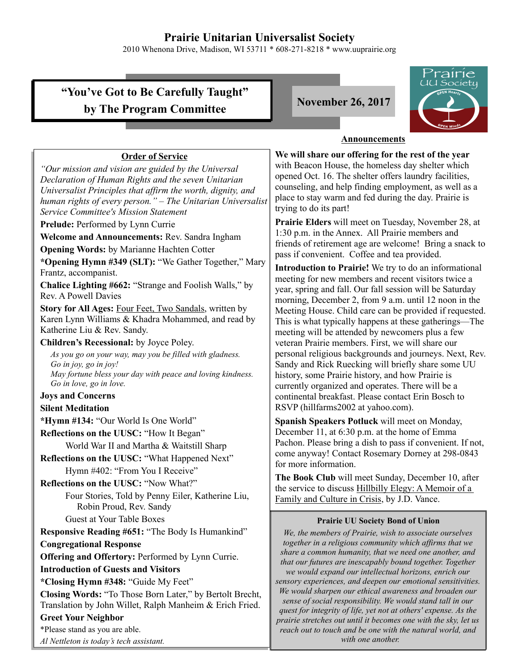# **Prairie Unitarian Universalist Society**

2010 Whenona Drive, Madison, WI 53711 \* 608-271-8218 \* www.uuprairie.org

# **"You've Got to Be Carefully Taught"** by The Program Committee **November 26, 2017**



### **Announcements**

**Order of Service** *"Our mission and vision are guided by the Universal Declaration of Human Rights and the seven Unitarian Universalist Principles that affirm the worth, dignity, and human rights of every person." – The Unitarian Universalist Service Committee's Mission Statement* **Prelude:** Performed by Lynn Currie **Welcome and Announcements:** Rev. Sandra Ingham **Opening Words:** by Marianne Hachten Cotter **\*Opening Hymn #349 (SLT):** "We Gather Together," Mary Frantz, accompanist. **Chalice Lighting #662:** "Strange and Foolish Walls," by Rev. A Powell Davies **Story for All Ages:** Four Feet, Two Sandals, written by Karen Lynn Williams & Khadra Mohammed, and read by Katherine Liu & Rev. Sandy. **Children's Recessional:** by Joyce Poley. *As you go on your way, may you be filled with gladness. Go in joy, go in joy! May fortune bless your day with peace and loving kindness. Go in love, go in love.* **Joys and Concerns Silent Meditation \*Hymn #134:** "Our World Is One World" **Reflections on the UUSC:** "How It Began" World War II and Martha & Waitstill Sharp **Reflections on the UUSC:** "What Happened Next" Hymn #402: "From You I Receive" **Reflections on the UUSC:** "Now What?" Four Stories, Told by Penny Eiler, Katherine Liu, Robin Proud, Rev. Sandy Guest at Your Table Boxes **Responsive Reading #651:** "The Body Is Humankind" **Congregational Response Offering and Offertory: Performed by Lynn Currie. Introduction of Guests and Visitors \*Closing Hymn #348:** "Guide My Feet" **Closing Words:** "To Those Born Later," by Bertolt Brecht, Translation by John Willet, Ralph Manheim & Erich Fried. **Greet Your Neighbor** \*Please stand as you are able. *Al Nettleton is today's tech assistant.*

**We will share our offering for the rest of the year** with Beacon House, the homeless day shelter which opened Oct. 16. The shelter offers laundry facilities, counseling, and help finding employment, as well as a place to stay warm and fed during the day. Prairie is trying to do its part!

**Prairie Elders** will meet on Tuesday, November 28, at 1:30 p.m. in the Annex. All Prairie members and friends of retirement age are welcome! Bring a snack to pass if convenient. Coffee and tea provided.

**Introduction to Prairie!** We try to do an informational meeting for new members and recent visitors twice a year, spring and fall. Our fall session will be Saturday morning, December 2, from 9 a.m. until 12 noon in the Meeting House. Child care can be provided if requested. This is what typically happens at these gatherings—The meeting will be attended by newcomers plus a few veteran Prairie members. First, we will share our personal religious backgrounds and journeys. Next, Rev. Sandy and Rick Ruecking will briefly share some UU history, some Prairie history, and how Prairie is currently organized and operates. There will be a continental breakfast. Please contact Erin Bosch to RSVP (hillfarms2002 at yahoo.com).

**Spanish Speakers Potluck** will meet on Monday, December 11, at 6:30 p.m. at the home of Emma Pachon. Please bring a dish to pass if convenient. If not, come anyway! Contact Rosemary Dorney at 298-0843 for more information.

**The Book Club** will meet Sunday, December 10, after the service to discuss Hillbilly Elegy: A Memoir of a Family and Culture in Crisis, by J.D. Vance.

#### **Prairie UU Society Bond of Union**

*We, the members of Prairie, wish to associate ourselves together in a religious community which affirms that we share a common humanity, that we need one another, and that our futures are inescapably bound together. Together we would expand our intellectual horizons, enrich our sensory experiences, and deepen our emotional sensitivities. We would sharpen our ethical awareness and broaden our sense of social responsibility. We would stand tall in our quest for integrity of life, yet not at others' expense. As the prairie stretches out until it becomes one with the sky, let us reach out to touch and be one with the natural world, and with one another.*